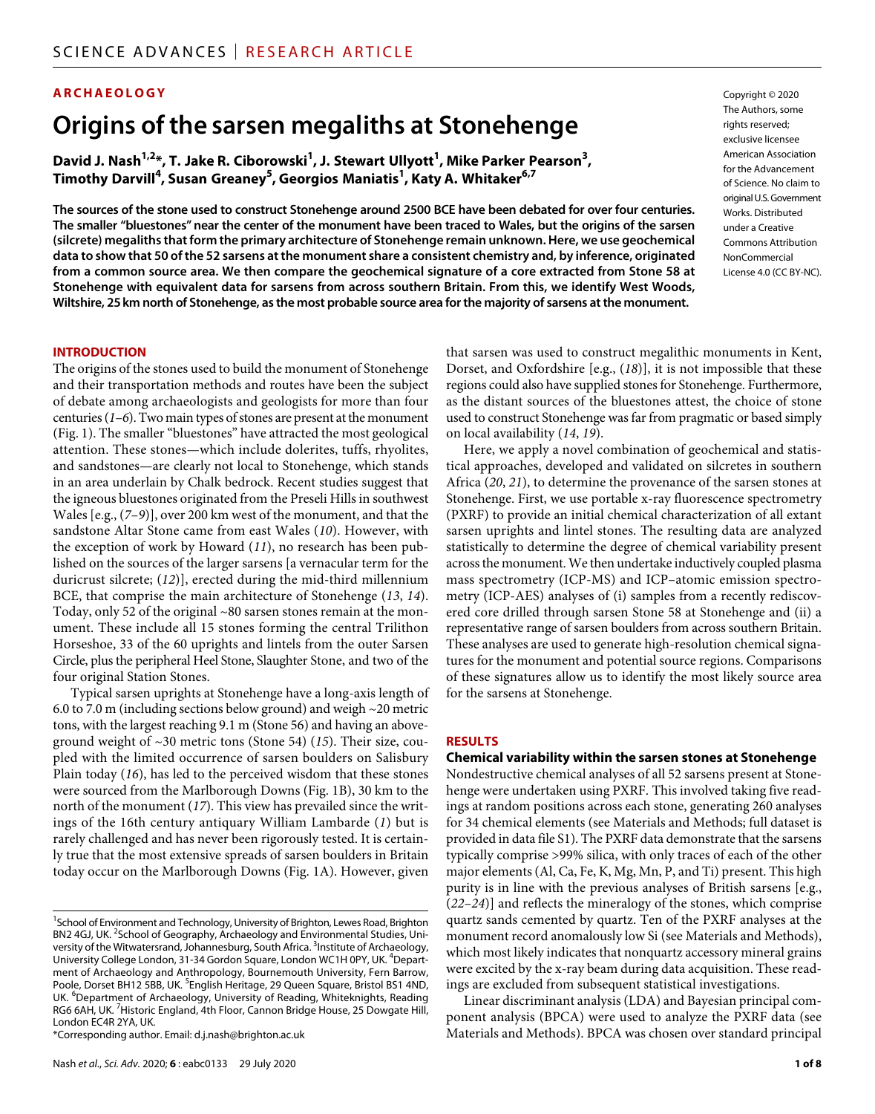### **ARCHAEOLOGY**

# **Origins ofthe sarsen megaliths at Stonehenge**

David J. Nash<sup>1,2</sup>\*, T. Jake R. Ciborowski<sup>1</sup>, J. Stewart Ullyott<sup>1</sup>, Mike Parker Pearson<sup>3</sup>, **Timothy Darvill<sup>4</sup> , Susan Greaney5 , Georgios Maniatis1 , Katy A. Whitaker6,7**

**The sources of the stone used to construct Stonehenge around 2500 BCE have been debated for over four centuries. The smaller "bluestones" near the center of the monument have been traced to Wales, but the origins of the sarsen (silcrete) megaliths that form the primary architecture of Stonehenge remain unknown. Here, we use geochemical data to show that 50 of the 52 sarsens at the monument share a consistent chemistry and, by inference, originated from a common source area. We then compare the geochemical signature of a core extracted from Stone 58 at Stonehenge with equivalent data for sarsens from across southern Britain. From this, we identify West Woods, Wiltshire, 25km north of Stonehenge, as the most probable source area for the majority of sarsens at the monument.**

Copyright © 2020 The Authors, some rights reserved: exclusive licensee American Association for the Advancement of Science. No claim to original U.S.Government Works. Distributed under a Creative Commons Attribution **NonCommercial** License 4.0 (CC BY-NC).

#### **INTRODUCTION**

The origins of the stones used to build the monument of Stonehenge and their transportation methods and routes have been the subject of debate among archaeologists and geologists for more than four centuries (*1*–*6*). Two main types of stones are present at the monument (Fig. 1). The smaller "bluestones" have attracted the most geological attention. These stones—which include dolerites, tuffs, rhyolites, and sandstones—are clearly not local to Stonehenge, which stands in an area underlain by Chalk bedrock. Recent studies suggest that the igneous bluestones originated from the Preseli Hills in southwest Wales [e.g., (*7*–*9*)], over 200 km west of the monument, and that the sandstone Altar Stone came from east Wales (*10*). However, with the exception of work by Howard (*11*), no research has been published on the sources of the larger sarsens [a vernacular term for the duricrust silcrete; (*12*)], erected during the mid-third millennium BCE, that comprise the main architecture of Stonehenge (*13*, *14*). Today, only 52 of the original  $\sim 80$  sarsen stones remain at the monument. These include all 15 stones forming the central Trilithon Horseshoe, 33 of the 60 uprights and lintels from the outer Sarsen Circle, plus the peripheral Heel Stone, Slaughter Stone, and two of the four original Station Stones.

Typical sarsen uprights at Stonehenge have a long-axis length of 6.0 to 7.0 m (including sections below ground) and weigh ~20 metric tons, with the largest reaching 9.1 m (Stone 56) and having an aboveground weight of ~30 metric tons (Stone 54) (*15*). Their size, coupled with the limited occurrence of sarsen boulders on Salisbury Plain today (*16*), has led to the perceived wisdom that these stones were sourced from the Marlborough Downs (Fig. 1B), 30 km to the north of the monument (*17*). This view has prevailed since the writings of the 16th century antiquary William Lambarde (*1*) but is rarely challenged and has never been rigorously tested. It is certainly true that the most extensive spreads of sarsen boulders in Britain today occur on the Marlborough Downs (Fig. 1A). However, given

\*Corresponding author. Email: d.j.nash@brighton.ac.uk

that sarsen was used to construct megalithic monuments in Kent, Dorset, and Oxfordshire [e.g., (*18*)], it is not impossible that these regions could also have supplied stones for Stonehenge. Furthermore, as the distant sources of the bluestones attest, the choice of stone used to construct Stonehenge was far from pragmatic or based simply on local availability (*14*, *19*).

Here, we apply a novel combination of geochemical and statistical approaches, developed and validated on silcretes in southern Africa (*20*, *21*), to determine the provenance of the sarsen stones at Stonehenge. First, we use portable x-ray fluorescence spectrometry (PXRF) to provide an initial chemical characterization of all extant sarsen uprights and lintel stones. The resulting data are analyzed statistically to determine the degree of chemical variability present across the monument. We then undertake inductively coupled plasma mass spectrometry (ICP-MS) and ICP–atomic emission spectrometry (ICP-AES) analyses of (i) samples from a recently rediscovered core drilled through sarsen Stone 58 at Stonehenge and (ii) a representative range of sarsen boulders from across southern Britain. These analyses are used to generate high-resolution chemical signatures for the monument and potential source regions. Comparisons of these signatures allow us to identify the most likely source area for the sarsens at Stonehenge.

#### **RESULTS**

**Chemical variability within the sarsen stones at Stonehenge**

Nondestructive chemical analyses of all 52 sarsens present at Stonehenge were undertaken using PXRF. This involved taking five readings at random positions across each stone, generating 260 analyses for 34 chemical elements (see Materials and Methods; full dataset is provided in data file S1). The PXRF data demonstrate that the sarsens typically comprise >99% silica, with only traces of each of the other major elements (Al, Ca, Fe, K, Mg, Mn, P, and Ti) present. This high purity is in line with the previous analyses of British sarsens [e.g., (*22*–*24*)] and reflects the mineralogy of the stones, which comprise quartz sands cemented by quartz. Ten of the PXRF analyses at the monument record anomalously low Si (see Materials and Methods), which most likely indicates that nonquartz accessory mineral grains were excited by the x-ray beam during data acquisition. These readings are excluded from subsequent statistical investigations.

Linear discriminant analysis (LDA) and Bayesian principal component analysis (BPCA) were used to analyze the PXRF data (see Materials and Methods). BPCA was chosen over standard principal

<sup>&</sup>lt;sup>1</sup>School of Environment and Technology, University of Brighton, Lewes Road, Brighton BN2 4GJ, UK.<sup>2</sup>School of Geography, Archaeology and Environmental Studies, University of the Witwatersrand, Johannesburg, South Africa.<sup>3</sup> Institute of Archaeology, University College London, 31-34 Gordon Square, London WC1H 0PY, UK. <sup>4</sup>Department of Archaeology and Anthropology, Bournemouth University, Fern Barrow, Poole, Dorset BH12 5BB, UK. <sup>5</sup>English Heritage, 29 Queen Square, Bristol BS1 4ND, UK. <sup>6</sup>Department of Archaeology, University of Reading, Whiteknights, Reading RG6 6AH, UK.<sup>7</sup> Historic England, 4th Floor, Cannon Bridge House, 25 Dowgate Hill, London EC4R 2YA, UK.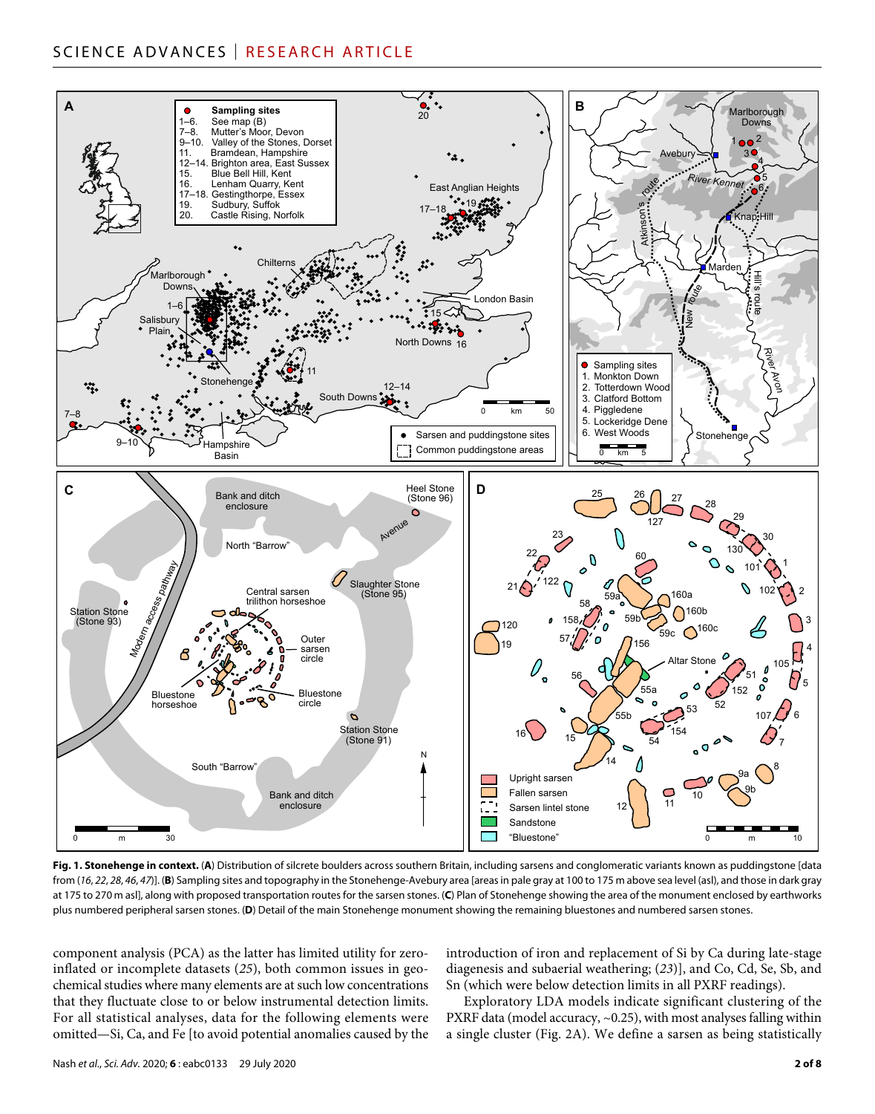## SCIENCE ADVANCES | RESEARCH ARTICLE



Fig. 1. Stonehenge in context. (A) Distribution of silcrete boulders across southern Britain, including sarsens and conglomeratic variants known as puddingstone [data from (*16*, *22*, *28*, *46*, *47*)]. (**B**) Sampling sites and topography in the Stonehenge-Avebury area [areas in pale gray at 100 to 175 m above sea level (asl), and those in dark gray at 175 to 270 m asl], along with proposed transportation routes for the sarsen stones. (**C**) Plan of Stonehenge showing the area of the monument enclosed by earthworks plus numbered peripheral sarsen stones. (**D**) Detail of the main Stonehenge monument showing the remaining bluestones and numbered sarsen stones.

component analysis (PCA) as the latter has limited utility for zeroinflated or incomplete datasets (*25*), both common issues in geochemical studies where many elements are at such low concentrations that they fluctuate close to or below instrumental detection limits. For all statistical analyses, data for the following elements were omitted—Si, Ca, and Fe [to avoid potential anomalies caused by the

introduction of iron and replacement of Si by Ca during late-stage diagenesis and subaerial weathering; (*23*)], and Co, Cd, Se, Sb, and Sn (which were below detection limits in all PXRF readings).

Exploratory LDA models indicate significant clustering of the PXRF data (model accuracy, ~0.25), with most analyses falling within a single cluster (Fig. 2A). We define a sarsen as being statistically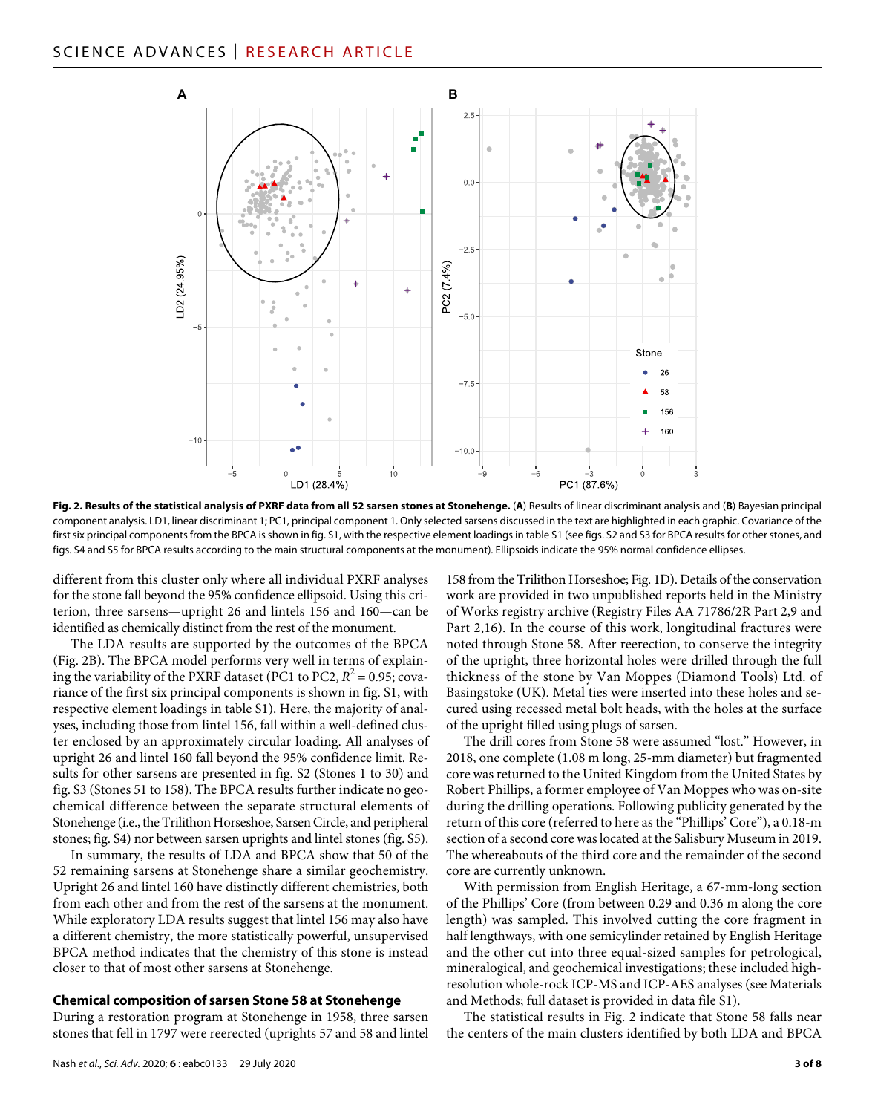

**Fig. 2. Results of the statistical analysis of PXRF data from all 52 sarsen stones at Stonehenge.** (**A**) Results of linear discriminant analysis and (**B**) Bayesian principal component analysis. LD1, linear discriminant 1; PC1, principal component 1. Only selected sarsens discussed in the text are highlighted in each graphic. Covariance of the first six principal components from the BPCA is shown in fig. S1, with the respective element loadings in table S1 (see figs. S2 and S3 for BPCA results for other stones, and figs. S4 and S5 for BPCA results according to the main structural components at the monument). Ellipsoids indicate the 95% normal confidence ellipses.

different from this cluster only where all individual PXRF analyses for the stone fall beyond the 95% confidence ellipsoid. Using this criterion, three sarsens—upright 26 and lintels 156 and 160—can be identified as chemically distinct from the rest of the monument.

The LDA results are supported by the outcomes of the BPCA (Fig. 2B). The BPCA model performs very well in terms of explaining the variability of the PXRF dataset (PC1 to PC2,  $R^2 = 0.95$ ; covariance of the first six principal components is shown in fig. S1, with respective element loadings in table S1). Here, the majority of analyses, including those from lintel 156, fall within a well-defined cluster enclosed by an approximately circular loading. All analyses of upright 26 and lintel 160 fall beyond the 95% confidence limit. Results for other sarsens are presented in fig. S2 (Stones 1 to 30) and fig. S3 (Stones 51 to 158). The BPCA results further indicate no geochemical difference between the separate structural elements of Stonehenge (i.e., the Trilithon Horseshoe, Sarsen Circle, and peripheral stones; fig. S4) nor between sarsen uprights and lintel stones (fig. S5).

In summary, the results of LDA and BPCA show that 50 of the 52 remaining sarsens at Stonehenge share a similar geochemistry. Upright 26 and lintel 160 have distinctly different chemistries, both from each other and from the rest of the sarsens at the monument. While exploratory LDA results suggest that lintel 156 may also have a different chemistry, the more statistically powerful, unsupervised BPCA method indicates that the chemistry of this stone is instead closer to that of most other sarsens at Stonehenge.

#### **Chemical composition of sarsen Stone 58 at Stonehenge**

During a restoration program at Stonehenge in 1958, three sarsen stones that fell in 1797 were reerected (uprights 57 and 58 and lintel 158 from the Trilithon Horseshoe; Fig. 1D). Details of the conservation work are provided in two unpublished reports held in the Ministry of Works registry archive (Registry Files AA 71786/2R Part 2,9 and Part 2,16). In the course of this work, longitudinal fractures were noted through Stone 58. After reerection, to conserve the integrity of the upright, three horizontal holes were drilled through the full thickness of the stone by Van Moppes (Diamond Tools) Ltd. of Basingstoke (UK). Metal ties were inserted into these holes and secured using recessed metal bolt heads, with the holes at the surface of the upright filled using plugs of sarsen.

The drill cores from Stone 58 were assumed "lost." However, in 2018, one complete (1.08 m long, 25-mm diameter) but fragmented core was returned to the United Kingdom from the United States by Robert Phillips, a former employee of Van Moppes who was on-site during the drilling operations. Following publicity generated by the return of this core (referred to here as the "Phillips' Core"), a 0.18-m section of a second core was located at the Salisbury Museum in 2019. The whereabouts of the third core and the remainder of the second core are currently unknown.

With permission from English Heritage, a 67-mm-long section of the Phillips' Core (from between 0.29 and 0.36 m along the core length) was sampled. This involved cutting the core fragment in half lengthways, with one semicylinder retained by English Heritage and the other cut into three equal-sized samples for petrological, mineralogical, and geochemical investigations; these included highresolution whole-rock ICP-MS and ICP-AES analyses (see Materials and Methods; full dataset is provided in data file S1).

The statistical results in Fig. 2 indicate that Stone 58 falls near the centers of the main clusters identified by both LDA and BPCA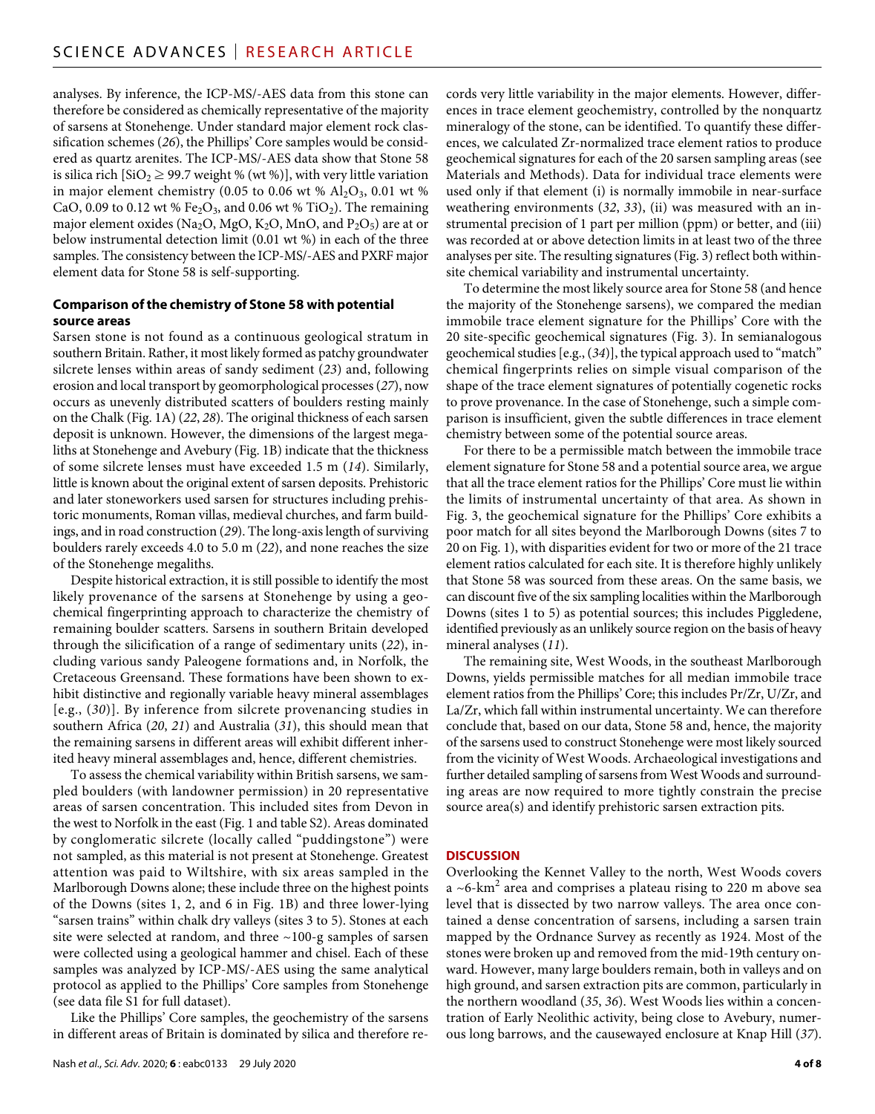analyses. By inference, the ICP-MS/-AES data from this stone can therefore be considered as chemically representative of the majority of sarsens at Stonehenge. Under standard major element rock classification schemes (*26*), the Phillips' Core samples would be considered as quartz arenites. The ICP-MS/-AES data show that Stone 58 is silica rich  $[\text{SiO}_2 \geq 99.7$  weight % (wt %)], with very little variation in major element chemistry (0.05 to 0.06 wt %  $Al_2O_3$ , 0.01 wt % CaO, 0.09 to 0.12 wt % Fe<sub>2</sub>O<sub>3</sub>, and 0.06 wt % TiO<sub>2</sub>). The remaining major element oxides (Na<sub>2</sub>O, MgO, K<sub>2</sub>O, MnO, and P<sub>2</sub>O<sub>5</sub>) are at or below instrumental detection limit (0.01 wt %) in each of the three samples. The consistency between the ICP-MS/-AES and PXRF major element data for Stone 58 is self-supporting.

#### **Comparison ofthe chemistry of Stone 58 with potential source areas**

Sarsen stone is not found as a continuous geological stratum in southern Britain. Rather, it most likely formed as patchy groundwater silcrete lenses within areas of sandy sediment (*23*) and, following erosion and local transport by geomorphological processes (*27*), now occurs as unevenly distributed scatters of boulders resting mainly on the Chalk (Fig. 1A) (*22*, *28*). The original thickness of each sarsen deposit is unknown. However, the dimensions of the largest megaliths at Stonehenge and Avebury (Fig. 1B) indicate that the thickness of some silcrete lenses must have exceeded 1.5 m (*14*). Similarly, little is known about the original extent of sarsen deposits. Prehistoric and later stoneworkers used sarsen for structures including prehistoric monuments, Roman villas, medieval churches, and farm buildings, and in road construction (*29*). The long-axis length of surviving boulders rarely exceeds 4.0 to 5.0 m (*22*), and none reaches the size of the Stonehenge megaliths.

Despite historical extraction, it is still possible to identify the most likely provenance of the sarsens at Stonehenge by using a geochemical fingerprinting approach to characterize the chemistry of remaining boulder scatters. Sarsens in southern Britain developed through the silicification of a range of sedimentary units (*22*), including various sandy Paleogene formations and, in Norfolk, the Cretaceous Greensand. These formations have been shown to exhibit distinctive and regionally variable heavy mineral assemblages [e.g., (*30*)]. By inference from silcrete provenancing studies in southern Africa (*20*, *21*) and Australia (*31*), this should mean that the remaining sarsens in different areas will exhibit different inherited heavy mineral assemblages and, hence, different chemistries.

To assess the chemical variability within British sarsens, we sampled boulders (with landowner permission) in 20 representative areas of sarsen concentration. This included sites from Devon in the west to Norfolk in the east (Fig. 1 and table S2). Areas dominated by conglomeratic silcrete (locally called "puddingstone") were not sampled, as this material is not present at Stonehenge. Greatest attention was paid to Wiltshire, with six areas sampled in the Marlborough Downs alone; these include three on the highest points of the Downs (sites 1, 2, and 6 in Fig. 1B) and three lower-lying "sarsen trains" within chalk dry valleys (sites 3 to 5). Stones at each site were selected at random, and three ~100-g samples of sarsen were collected using a geological hammer and chisel. Each of these samples was analyzed by ICP-MS/-AES using the same analytical protocol as applied to the Phillips' Core samples from Stonehenge (see data file S1 for full dataset).

Like the Phillips' Core samples, the geochemistry of the sarsens in different areas of Britain is dominated by silica and therefore records very little variability in the major elements. However, differences in trace element geochemistry, controlled by the nonquartz mineralogy of the stone, can be identified. To quantify these differences, we calculated Zr-normalized trace element ratios to produce geochemical signatures for each of the 20 sarsen sampling areas (see Materials and Methods). Data for individual trace elements were used only if that element (i) is normally immobile in near-surface weathering environments (*32*, *33*), (ii) was measured with an instrumental precision of 1 part per million (ppm) or better, and (iii) was recorded at or above detection limits in at least two of the three analyses per site. The resulting signatures (Fig. 3) reflect both withinsite chemical variability and instrumental uncertainty.

To determine the most likely source area for Stone 58 (and hence the majority of the Stonehenge sarsens), we compared the median immobile trace element signature for the Phillips' Core with the 20 site-specific geochemical signatures (Fig. 3). In semianalogous geochemical studies [e.g., (*34*)], the typical approach used to "match" chemical fingerprints relies on simple visual comparison of the shape of the trace element signatures of potentially cogenetic rocks to prove provenance. In the case of Stonehenge, such a simple comparison is insufficient, given the subtle differences in trace element chemistry between some of the potential source areas.

For there to be a permissible match between the immobile trace element signature for Stone 58 and a potential source area, we argue that all the trace element ratios for the Phillips' Core must lie within the limits of instrumental uncertainty of that area. As shown in Fig. 3, the geochemical signature for the Phillips' Core exhibits a poor match for all sites beyond the Marlborough Downs (sites 7 to 20 on Fig. 1), with disparities evident for two or more of the 21 trace element ratios calculated for each site. It is therefore highly unlikely that Stone 58 was sourced from these areas. On the same basis, we can discount five of the six sampling localities within the Marlborough Downs (sites 1 to 5) as potential sources; this includes Piggledene, identified previously as an unlikely source region on the basis of heavy mineral analyses (*11*).

The remaining site, West Woods, in the southeast Marlborough Downs, yields permissible matches for all median immobile trace element ratios from the Phillips' Core; this includes Pr/Zr, U/Zr, and La/Zr, which fall within instrumental uncertainty. We can therefore conclude that, based on our data, Stone 58 and, hence, the majority of the sarsens used to construct Stonehenge were most likely sourced from the vicinity of West Woods. Archaeological investigations and further detailed sampling of sarsens from West Woods and surrounding areas are now required to more tightly constrain the precise source area(s) and identify prehistoric sarsen extraction pits.

#### **DISCUSSION**

Overlooking the Kennet Valley to the north, West Woods covers a ~6-km<sup>2</sup> area and comprises a plateau rising to 220 m above sea level that is dissected by two narrow valleys. The area once contained a dense concentration of sarsens, including a sarsen train mapped by the Ordnance Survey as recently as 1924. Most of the stones were broken up and removed from the mid-19th century onward. However, many large boulders remain, both in valleys and on high ground, and sarsen extraction pits are common, particularly in the northern woodland (*35*, *36*). West Woods lies within a concentration of Early Neolithic activity, being close to Avebury, numerous long barrows, and the causewayed enclosure at Knap Hill (*37*).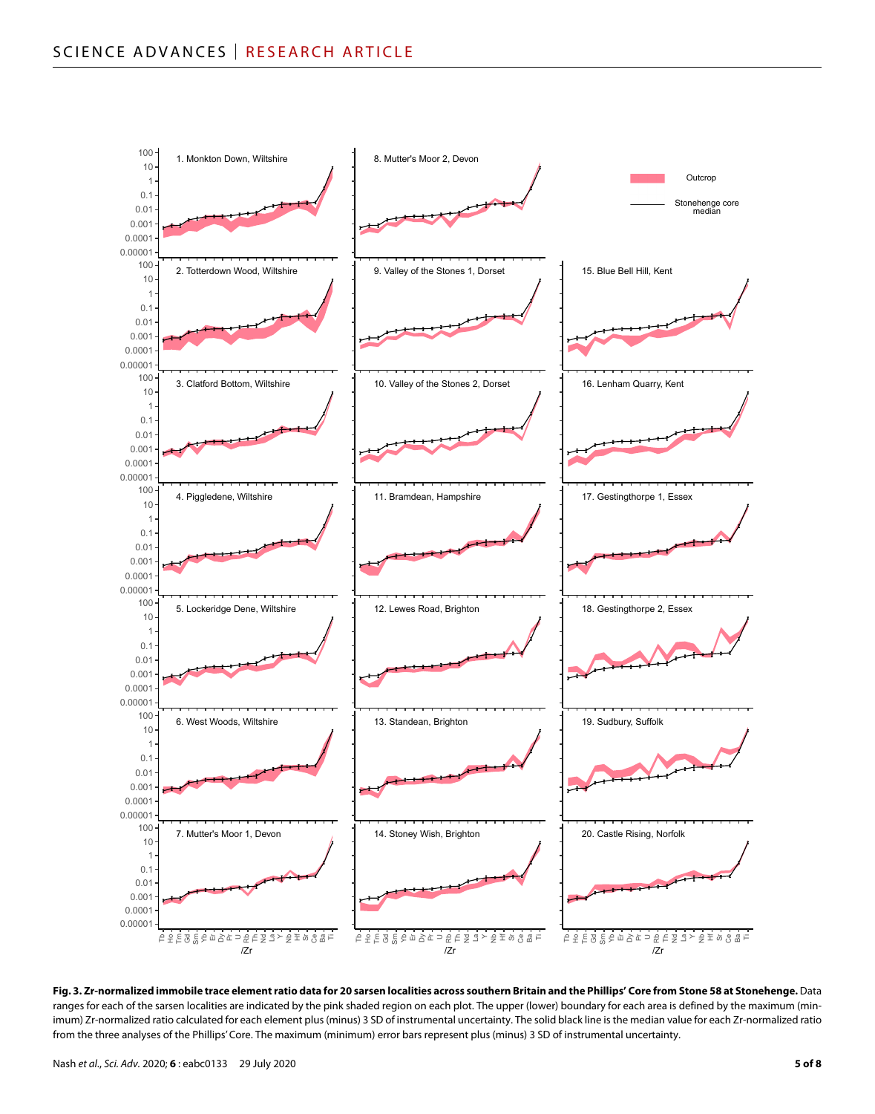

**Fig. 3. Zr-normalized immobile trace element ratio data for 20 sarsen localities across southern Britain and the Phillips' Core from Stone 58 at Stonehenge.** Data ranges for each of the sarsen localities are indicated by the pink shaded region on each plot. The upper (lower) boundary for each area is defined by the maximum (minimum) Zr-normalized ratio calculated for each element plus (minus) 3 SD of instrumental uncertainty. The solid black line is the median value for each Zr-normalized ratio from the three analyses of the Phillips' Core. The maximum (minimum) error bars represent plus (minus) 3 SD of instrumental uncertainty.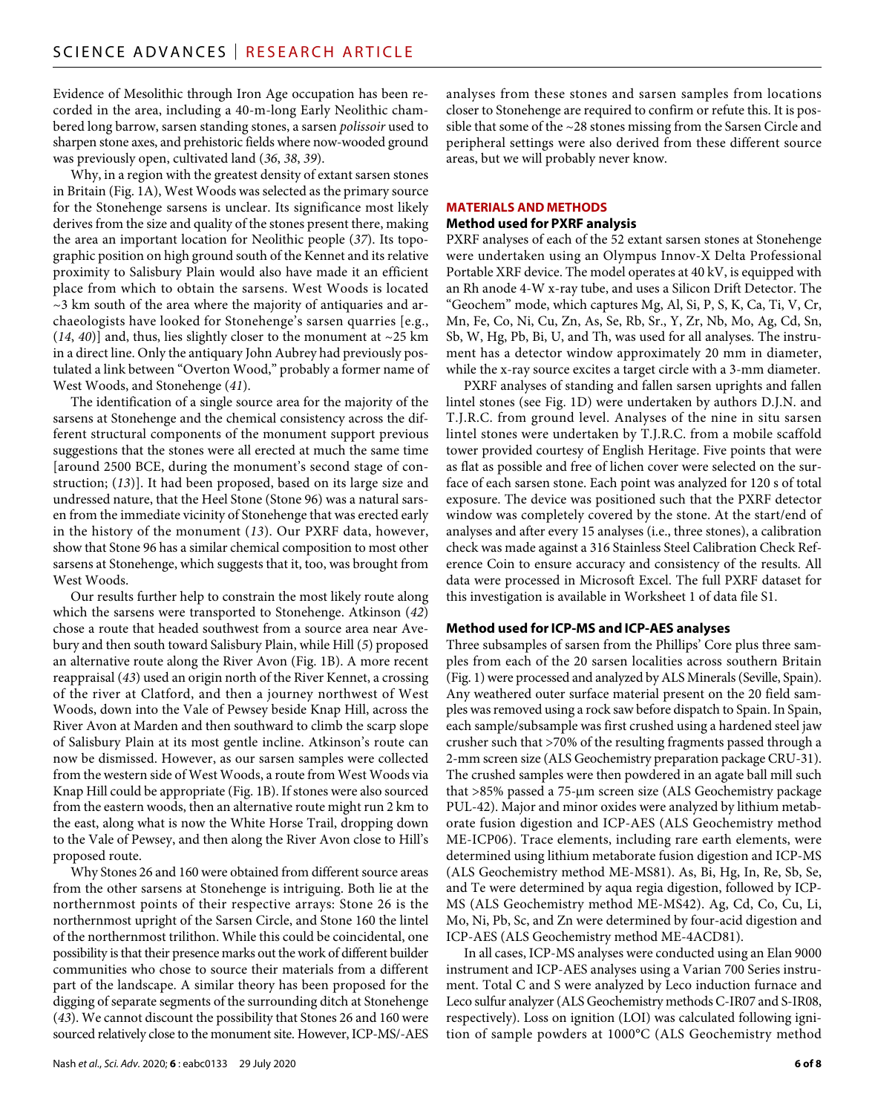Evidence of Mesolithic through Iron Age occupation has been recorded in the area, including a 40-m-long Early Neolithic chambered long barrow, sarsen standing stones, a sarsen *polissoir* used to sharpen stone axes, and prehistoric fields where now-wooded ground was previously open, cultivated land (*36*, *38*, *39*).

Why, in a region with the greatest density of extant sarsen stones in Britain (Fig. 1A), West Woods was selected as the primary source for the Stonehenge sarsens is unclear. Its significance most likely derives from the size and quality of the stones present there, making the area an important location for Neolithic people (*37*). Its topographic position on high ground south of the Kennet and its relative proximity to Salisbury Plain would also have made it an efficient place from which to obtain the sarsens. West Woods is located  $\sim$ 3 km south of the area where the majority of antiquaries and archaeologists have looked for Stonehenge's sarsen quarries [e.g.,  $(14, 40)$ ] and, thus, lies slightly closer to the monument at  $\sim$ 25 km in a direct line. Only the antiquary John Aubrey had previously postulated a link between "Overton Wood," probably a former name of West Woods, and Stonehenge (*41*).

The identification of a single source area for the majority of the sarsens at Stonehenge and the chemical consistency across the different structural components of the monument support previous suggestions that the stones were all erected at much the same time [around 2500 BCE, during the monument's second stage of construction; (*13*)]. It had been proposed, based on its large size and undressed nature, that the Heel Stone (Stone 96) was a natural sarsen from the immediate vicinity of Stonehenge that was erected early in the history of the monument (*13*). Our PXRF data, however, show that Stone 96 has a similar chemical composition to most other sarsens at Stonehenge, which suggests that it, too, was brought from West Woods.

Our results further help to constrain the most likely route along which the sarsens were transported to Stonehenge. Atkinson (*42*) chose a route that headed southwest from a source area near Avebury and then south toward Salisbury Plain, while Hill (*5*) proposed an alternative route along the River Avon (Fig. 1B). A more recent reappraisal (*43*) used an origin north of the River Kennet, a crossing of the river at Clatford, and then a journey northwest of West Woods, down into the Vale of Pewsey beside Knap Hill, across the River Avon at Marden and then southward to climb the scarp slope of Salisbury Plain at its most gentle incline. Atkinson's route can now be dismissed. However, as our sarsen samples were collected from the western side of West Woods, a route from West Woods via Knap Hill could be appropriate (Fig. 1B). If stones were also sourced from the eastern woods, then an alternative route might run 2 km to the east, along what is now the White Horse Trail, dropping down to the Vale of Pewsey, and then along the River Avon close to Hill's proposed route.

Why Stones 26 and 160 were obtained from different source areas from the other sarsens at Stonehenge is intriguing. Both lie at the northernmost points of their respective arrays: Stone 26 is the northernmost upright of the Sarsen Circle, and Stone 160 the lintel of the northernmost trilithon. While this could be coincidental, one possibility is that their presence marks out the work of different builder communities who chose to source their materials from a different part of the landscape. A similar theory has been proposed for the digging of separate segments of the surrounding ditch at Stonehenge (*43*). We cannot discount the possibility that Stones 26 and 160 were sourced relatively close to the monument site. However, ICP-MS/-AES

analyses from these stones and sarsen samples from locations closer to Stonehenge are required to confirm or refute this. It is possible that some of the ~28 stones missing from the Sarsen Circle and peripheral settings were also derived from these different source areas, but we will probably never know.

#### **MATERIALS AND METHODS**

#### **Method used for PXRF analysis**

PXRF analyses of each of the 52 extant sarsen stones at Stonehenge were undertaken using an Olympus Innov-X Delta Professional Portable XRF device. The model operates at 40 kV, is equipped with an Rh anode 4-W x-ray tube, and uses a Silicon Drift Detector. The "Geochem" mode, which captures Mg, Al, Si, P, S, K, Ca, Ti, V, Cr, Mn, Fe, Co, Ni, Cu, Zn, As, Se, Rb, Sr., Y, Zr, Nb, Mo, Ag, Cd, Sn, Sb, W, Hg, Pb, Bi, U, and Th, was used for all analyses. The instrument has a detector window approximately 20 mm in diameter, while the x-ray source excites a target circle with a 3-mm diameter.

PXRF analyses of standing and fallen sarsen uprights and fallen lintel stones (see Fig. 1D) were undertaken by authors D.J.N. and T.J.R.C. from ground level. Analyses of the nine in situ sarsen lintel stones were undertaken by T.J.R.C. from a mobile scaffold tower provided courtesy of English Heritage. Five points that were as flat as possible and free of lichen cover were selected on the surface of each sarsen stone. Each point was analyzed for 120 s of total exposure. The device was positioned such that the PXRF detector window was completely covered by the stone. At the start/end of analyses and after every 15 analyses (i.e., three stones), a calibration check was made against a 316 Stainless Steel Calibration Check Reference Coin to ensure accuracy and consistency of the results. All data were processed in Microsoft Excel. The full PXRF dataset for this investigation is available in Worksheet 1 of data file S1.

#### **Method used forICP-MS and ICP-AES analyses**

Three subsamples of sarsen from the Phillips' Core plus three samples from each of the 20 sarsen localities across southern Britain (Fig. 1) were processed and analyzed by ALS Minerals (Seville, Spain). Any weathered outer surface material present on the 20 field samples was removed using a rock saw before dispatch to Spain. In Spain, each sample/subsample was first crushed using a hardened steel jaw crusher such that >70% of the resulting fragments passed through a 2-mm screen size (ALS Geochemistry preparation package CRU-31). The crushed samples were then powdered in an agate ball mill such that >85% passed a 75-µm screen size (ALS Geochemistry package PUL-42). Major and minor oxides were analyzed by lithium metaborate fusion digestion and ICP-AES (ALS Geochemistry method ME-ICP06). Trace elements, including rare earth elements, were determined using lithium metaborate fusion digestion and ICP-MS (ALS Geochemistry method ME-MS81). As, Bi, Hg, In, Re, Sb, Se, and Te were determined by aqua regia digestion, followed by ICP-MS (ALS Geochemistry method ME-MS42). Ag, Cd, Co, Cu, Li, Mo, Ni, Pb, Sc, and Zn were determined by four-acid digestion and ICP-AES (ALS Geochemistry method ME-4ACD81).

In all cases, ICP-MS analyses were conducted using an Elan 9000 instrument and ICP-AES analyses using a Varian 700 Series instrument. Total C and S were analyzed by Leco induction furnace and Leco sulfur analyzer (ALS Geochemistry methods C-IR07 and S-IR08, respectively). Loss on ignition (LOI) was calculated following ignition of sample powders at 1000°C (ALS Geochemistry method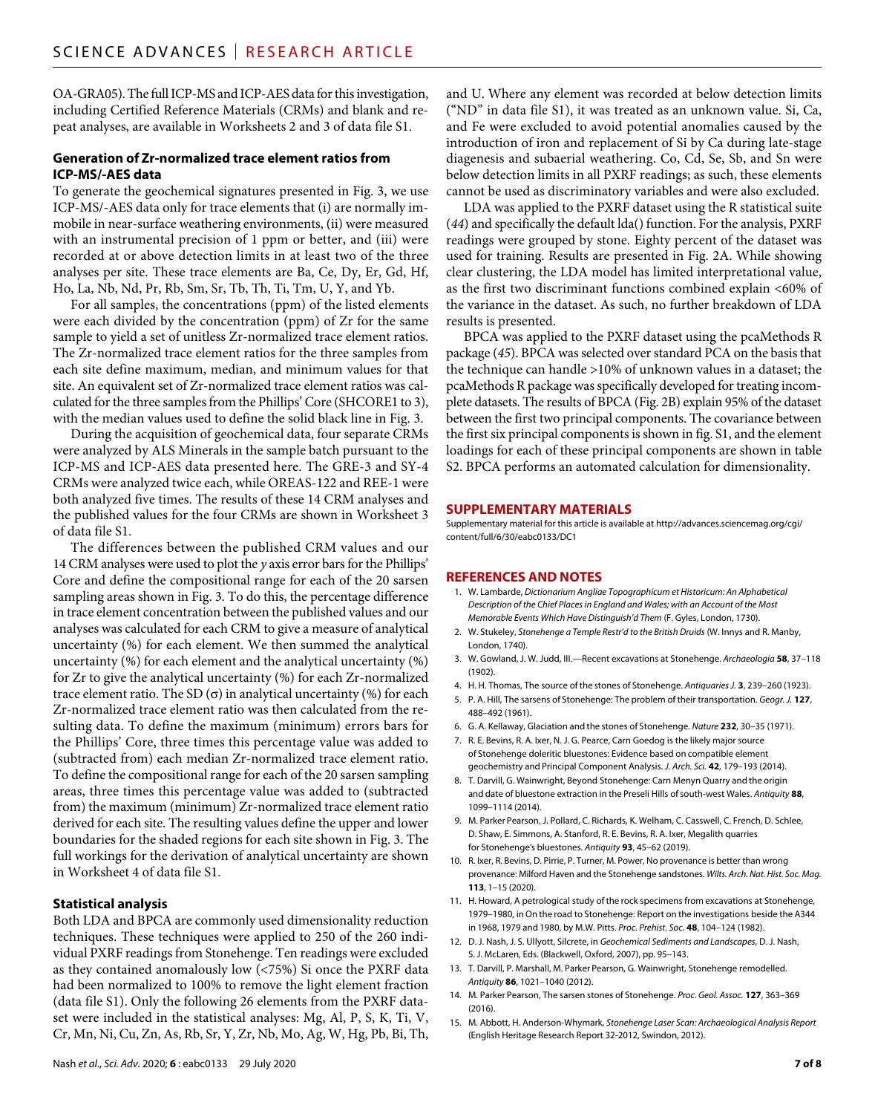OA-GRA05). The full ICP-MS and ICP-AES data for this investigation, including Certified Reference Materials (CRMs) and blank and repeat analyses, are available in Worksheets 2 and 3 of data file S1.

#### **Generation of Zr-normalized trace element ratios from ICP-MS/-AES data**

To generate the geochemical signatures presented in Fig. 3, we use ICP-MS/-AES data only for trace elements that (i) are normally immobile in near-surface weathering environments, (ii) were measured with an instrumental precision of 1 ppm or better, and (iii) were recorded at or above detection limits in at least two of the three analyses per site. These trace elements are Ba, Ce, Dy, Er, Gd, Hf, Ho, La, Nb, Nd, Pr, Rb, Sm, Sr, Tb, Th, Ti, Tm, U, Y, and Yb.

For all samples, the concentrations (ppm) of the listed elements were each divided by the concentration (ppm) of Zr for the same sample to yield a set of unitless Zr-normalized trace element ratios. The Zr-normalized trace element ratios for the three samples from each site define maximum, median, and minimum values for that site. An equivalent set of Zr-normalized trace element ratios was calculated for the three samples from the Phillips' Core (SHCORE1 to 3), with the median values used to define the solid black line in Fig. 3.

During the acquisition of geochemical data, four separate CRMs were analyzed by ALS Minerals in the sample batch pursuant to the ICP-MS and ICP-AES data presented here. The GRE-3 and SY-4 CRMs were analyzed twice each, while OREAS-122 and REE-1 were both analyzed five times. The results of these 14 CRM analyses and the published values for the four CRMs are shown in Worksheet 3 of data file S1.

The differences between the published CRM values and our 14 CRM analyses were used to plot the *y* axis error bars for the Phillips' Core and define the compositional range for each of the 20 sarsen sampling areas shown in Fig. 3. To do this, the percentage difference in trace element concentration between the published values and our analyses was calculated for each CRM to give a measure of analytical uncertainty (%) for each element. We then summed the analytical uncertainty (%) for each element and the analytical uncertainty (%) for Zr to give the analytical uncertainty (%) for each Zr-normalized trace element ratio. The SD  $(\sigma)$  in analytical uncertainty (%) for each Zr-normalized trace element ratio was then calculated from the resulting data. To define the maximum (minimum) errors bars for the Phillips' Core, three times this percentage value was added to (subtracted from) each median Zr-normalized trace element ratio. To define the compositional range for each of the 20 sarsen sampling areas, three times this percentage value was added to (subtracted from) the maximum (minimum) Zr-normalized trace element ratio derived for each site. The resulting values define the upper and lower boundaries for the shaded regions for each site shown in Fig. 3. The full workings for the derivation of analytical uncertainty are shown in Worksheet 4 of data file S1.

#### **Statistical analysis**

Both LDA and BPCA are commonly used dimensionality reduction techniques. These techniques were applied to 250 of the 260 individual PXRF readings from Stonehenge. Ten readings were excluded as they contained anomalously low (<75%) Si once the PXRF data had been normalized to 100% to remove the light element fraction (data file S1). Only the following 26 elements from the PXRF dataset were included in the statistical analyses: Mg, Al, P, S, K, Ti, V, Cr, Mn, Ni, Cu, Zn, As, Rb, Sr, Y, Zr, Nb, Mo, Ag, W, Hg, Pb, Bi, Th,

and U. Where any element was recorded at below detection limits ("ND" in data file S1), it was treated as an unknown value. Si, Ca, and Fe were excluded to avoid potential anomalies caused by the introduction of iron and replacement of Si by Ca during late-stage diagenesis and subaerial weathering. Co, Cd, Se, Sb, and Sn were below detection limits in all PXRF readings; as such, these elements cannot be used as discriminatory variables and were also excluded.

LDA was applied to the PXRF dataset using the R statistical suite (*44*) and specifically the default lda() function. For the analysis, PXRF readings were grouped by stone. Eighty percent of the dataset was used for training. Results are presented in Fig. 2A. While showing clear clustering, the LDA model has limited interpretational value, as the first two discriminant functions combined explain <60% of the variance in the dataset. As such, no further breakdown of LDA results is presented.

BPCA was applied to the PXRF dataset using the pcaMethods R package (*45*). BPCA was selected over standard PCA on the basis that the technique can handle >10% of unknown values in a dataset; the pcaMethods R package was specifically developed for treating incomplete datasets. The results of BPCA (Fig. 2B) explain 95% of the dataset between the first two principal components. The covariance between the first six principal components is shown in fig. S1, and the element loadings for each of these principal components are shown in table S2. BPCA performs an automated calculation for dimensionality.

#### **SUPPLEMENTARY MATERIALS**

Supplementary material for this article is available at [http://advances.sciencemag.org/cgi/](http://advances.sciencemag.org/cgi/content/full/6/30/eabc0133/DC1) [content/full/6/30/eabc0133/DC1](http://advances.sciencemag.org/cgi/content/full/6/30/eabc0133/DC1)

#### **REFERENCES AND NOTES**

- 1. W. Lambarde, *Dictionarium Angliae Topographicum et Historicum: An Alphabetical Description of the Chief Places in England and Wales; with an Account of the Most Memorable Events Which Have Distinguish'd Them* (F. Gyles, London, 1730).
- 2. W. Stukeley, *Stonehenge a Temple Restr'd to the British Druids* (W. Innys and R. Manby, London, 1740).
- 3. W. Gowland, J. W. Judd, III.—Recent excavations at Stonehenge. *Archaeologia* **58**, 37–118 (1902).
- 4. H. H. Thomas, The source of the stones of Stonehenge. *Antiquaries J.* **3**, 239–260 (1923).
- 5. P. A. Hill, The sarsens of Stonehenge: The problem of their transportation. *Geogr. J.* **127**, 488–492 (1961).
- 6. G. A. Kellaway, Glaciation and the stones of Stonehenge. *Nature* **232**, 30–35 (1971).
- 7. R. E. Bevins, R. A. Ixer, N. J. G. Pearce, Carn Goedog is the likely major source of Stonehenge doleritic bluestones: Evidence based on compatible element geochemistry and Principal Component Analysis. *J. Arch. Sci.* **42**, 179–193 (2014).
- 8. T. Darvill, G. Wainwright, Beyond Stonehenge: Carn Menyn Quarry and the origin and date of bluestone extraction in the Preseli Hills of south-west Wales. Antiquity 88, 1099–1114 (2014).
- 9. M. Parker Pearson, J. Pollard, C. Richards, K. Welham, C. Casswell, C. French, D. Schlee, D. Shaw, E. Simmons, A. Stanford, R. E. Bevins, R. A. Ixer, Megalith quarries for Stonehenge's bluestones. *Antiquity* **93**, 45–62 (2019).
- 10. R. Ixer, R. Bevins, D. Pirrie, P. Turner, M. Power, No provenance is better than wrong provenance: Milford Haven and the Stonehenge sandstones. *Wilts. Arch. Nat. Hist. Soc. Mag.* **113**, 1–15 (2020).
- 11. H. Howard, A petrological study of the rock specimens from excavations at Stonehenge, 1979–1980, inOn the road to Stonehenge: Report on the investigations beside the A344 in 1968, 1979 and 1980, by M.W. Pitts. *Proc. Prehist. Soc.* **48**, 104–124 (1982).
- 12. D. J. Nash, J. S. Ullyott, Silcrete, in *Geochemical Sediments and Landscapes*, D. J. Nash, S. J. McLaren, Eds. (Blackwell, Oxford, 2007), pp. 95–143.
- 13. T. Darvill, P. Marshall, M. Parker Pearson, G. Wainwright, Stonehenge remodelled. *Antiquity* **86**, 1021–1040 (2012).
- 14. M. Parker Pearson, The sarsen stones of Stonehenge. *Proc. Geol. Assoc.* **127**, 363–369 (2016).
- 15. M. Abbott, H. Anderson-Whymark, *Stonehenge Laser Scan: Archaeological Analysis Report* (English Heritage Research Report 32-2012, Swindon, 2012).